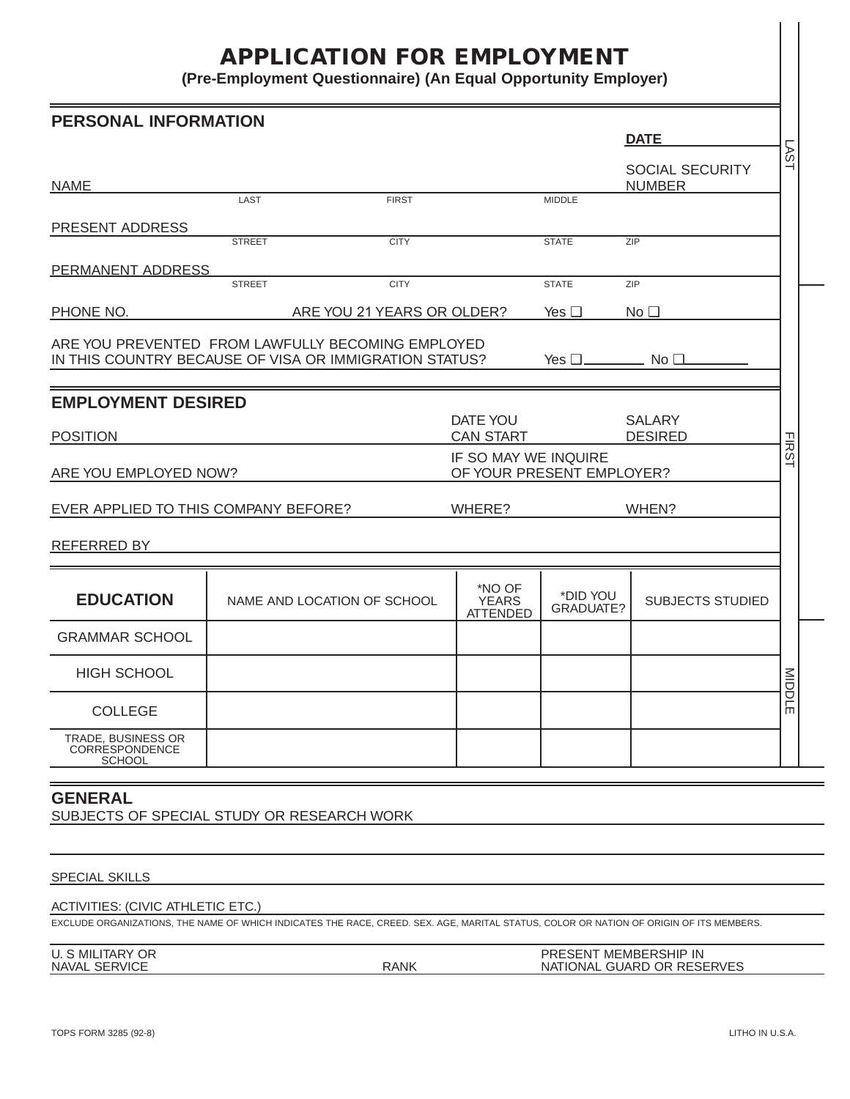# **APPLICATION FOR EMPLOYMENT**

**(Pre-Employment Questionnaire) (An Equal Opportunity Employer)**

|                                                                   | <b>PERSONAL INFORMATION</b> |                                                                                                                                         |                                                   |                              |                                         |                  |
|-------------------------------------------------------------------|-----------------------------|-----------------------------------------------------------------------------------------------------------------------------------------|---------------------------------------------------|------------------------------|-----------------------------------------|------------------|
|                                                                   |                             |                                                                                                                                         |                                                   |                              | <b>DATE</b>                             | LSV <sub>1</sub> |
| <b>NAME</b>                                                       |                             |                                                                                                                                         |                                                   |                              | <b>SOCIAL SECURITY</b><br><b>NUMBER</b> |                  |
|                                                                   | LAST                        | <b>FIRST</b>                                                                                                                            |                                                   | <b>MIDDLE</b>                |                                         |                  |
| PRESENT ADDRESS                                                   |                             |                                                                                                                                         |                                                   |                              |                                         |                  |
|                                                                   | <b>STREET</b>               | <b>CITY</b>                                                                                                                             |                                                   | <b>STATE</b>                 | ZIP                                     |                  |
| PERMANENT ADDRESS                                                 | <b>STREET</b>               | <b>CITY</b>                                                                                                                             |                                                   | <b>STATE</b>                 | ZIP                                     |                  |
| PHONE NO.                                                         |                             | ARE YOU 21 YEARS OR OLDER?                                                                                                              |                                                   | Yes $\Box$                   | No <sub>1</sub>                         |                  |
|                                                                   |                             | ARE YOU PREVENTED FROM LAWFULLY BECOMING EMPLOYED<br>IN THIS COUNTRY BECAUSE OF VISA OR IMMIGRATION STATUS?                             |                                                   | Yes $\square$ No $\square$ . |                                         |                  |
| <b>EMPLOYMENT DESIRED</b>                                         |                             |                                                                                                                                         | DATE YOU<br><b>CAN START</b>                      |                              | <b>SALARY</b><br><b>DESIRED</b>         |                  |
| <b>POSITION</b><br>ARE YOU EMPLOYED NOW?                          |                             |                                                                                                                                         | IF SO MAY WE INQUIRE<br>OF YOUR PRESENT EMPLOYER? |                              |                                         | <b>FIRST</b>     |
| EVER APPLIED TO THIS COMPANY BEFORE?                              |                             |                                                                                                                                         | WHERE?                                            | WHEN?                        |                                         |                  |
| REFERRED BY                                                       |                             |                                                                                                                                         |                                                   |                              |                                         |                  |
| <b>EDUCATION</b>                                                  |                             | NAME AND LOCATION OF SCHOOL                                                                                                             | *NO OF<br><b>YEARS</b><br><b>ATTENDED</b>         | *DID YOU<br>GRADUATE?        | <b>SUBJECTS STUDIED</b>                 |                  |
| <b>GRAMMAR SCHOOL</b>                                             |                             |                                                                                                                                         |                                                   |                              |                                         |                  |
|                                                                   |                             |                                                                                                                                         |                                                   |                              |                                         |                  |
| <b>HIGH SCHOOL</b>                                                |                             |                                                                                                                                         |                                                   |                              |                                         |                  |
| <b>COLLEGE</b>                                                    |                             |                                                                                                                                         |                                                   |                              |                                         | MIDDLE           |
| TRADE, BUSINESS OR<br>CORRESPONDENCE<br><b>SCHOOL</b>             |                             |                                                                                                                                         |                                                   |                              |                                         |                  |
| <b>GENERAL</b><br>SUBJECTS OF SPECIAL STUDY OR RESEARCH WORK      |                             |                                                                                                                                         |                                                   |                              |                                         |                  |
|                                                                   |                             |                                                                                                                                         |                                                   |                              |                                         |                  |
| <b>SPECIAL SKILLS</b><br><b>ACTIVITIES: (CIVIC ATHLETIC ETC.)</b> |                             | EXCLUDE ORGANIZATIONS, THE NAME OF WHICH INDICATES THE RACE, CREED. SEX. AGE, MARITAL STATUS, COLOR OR NATION OF ORIGIN OF ITS MEMBERS. |                                                   |                              |                                         |                  |

## ACTlVITIES: (CIVIC ATHLETIC ETC.)

| U. S MILITARY OR               |             | MEMBERSHIP IN<br>$-0.001$<br><b>PRESENT</b> |  |
|--------------------------------|-------------|---------------------------------------------|--|
| <b>SERVICE</b><br><b>NAVAL</b> | <b>RANK</b> | GUARD OR RESERVES<br>NATIONAL               |  |